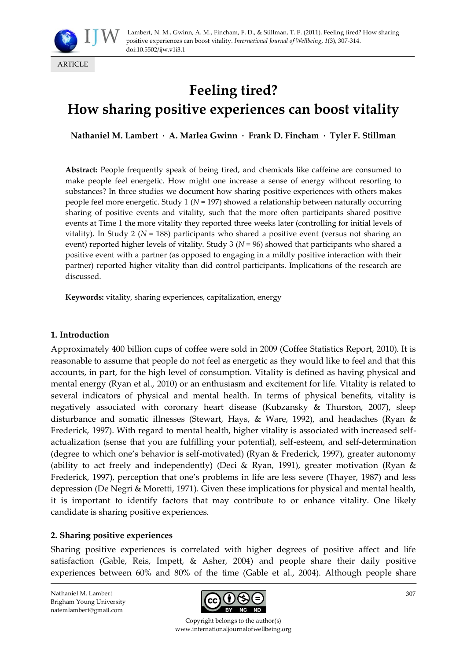

# **Feeling tired? How sharing positive experiences can boost vitality**

**Nathaniel M. Lambert · A. Marlea Gwinn · Frank D. Fincham · Tyler F. Stillman**

**Abstract:** People frequently speak of being tired, and chemicals like caffeine are consumed to make people feel energetic. How might one increase a sense of energy without resorting to substances? In three studies we document how sharing positive experiences with others makes people feel more energetic. Study 1 (*N* = 197) showed a relationship between naturally occurring sharing of positive events and vitality, such that the more often participants shared positive events at Time 1 the more vitality they reported three weeks later (controlling for initial levels of vitality). In Study 2 ( $N = 188$ ) participants who shared a positive event (versus not sharing an event) reported higher levels of vitality. Study 3 (*N* = 96) showed that participants who shared a positive event with a partner (as opposed to engaging in a mildly positive interaction with their partner) reported higher vitality than did control participants. Implications of the research are discussed.

**Keywords:** vitality, sharing experiences, capitalization, energy

#### **1. Introduction**

Approximately 400 billion cups of coffee were sold in 2009 (Coffee Statistics Report, 2010). It is reasonable to assume that people do not feel as energetic as they would like to feel and that this accounts, in part, for the high level of consumption. Vitality is defined as having physical and mental energy (Ryan et al., 2010) or an enthusiasm and excitement for life. Vitality is related to several indicators of physical and mental health. In terms of physical benefits, vitality is negatively associated with coronary heart disease (Kubzansky & Thurston, 2007), sleep disturbance and somatic illnesses (Stewart, Hays, & Ware, 1992), and headaches (Ryan & Frederick, 1997). With regard to mental health, higher vitality is associated with increased selfactualization (sense that you are fulfilling your potential), self-esteem, and self-determination (degree to which one's behavior is self-motivated) (Ryan & Frederick, 1997), greater autonomy (ability to act freely and independently) (Deci & Ryan, 1991), greater motivation (Ryan & Frederick, 1997), perception that one's problems in life are less severe (Thayer, 1987) and less depression (De Negri & Moretti, 1971). Given these implications for physical and mental health, it is important to identify factors that may contribute to or enhance vitality. One likely candidate is sharing positive experiences.

#### **2. Sharing positive experiences**

Sharing positive experiences is correlated with higher degrees of positive affect and life satisfaction (Gable, Reis, Impett, & Asher, 2004) and people share their daily positive experiences between 60% and 80% of the time (Gable et al., 2004). Although people share



Copyright belongs to the author(s) www.internationaljournalofwellbeing.org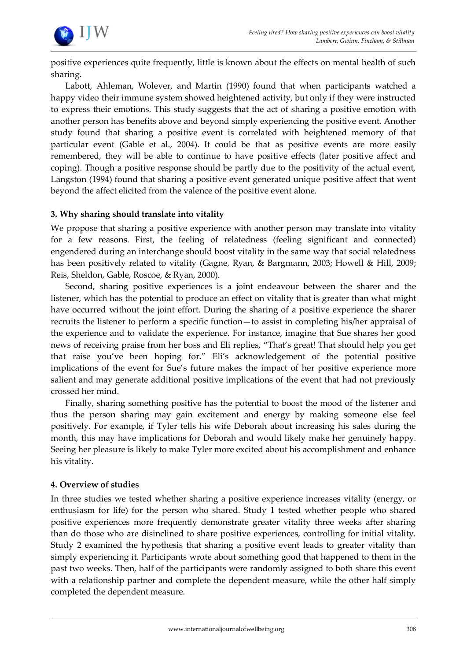

positive experiences quite frequently, little is known about the effects on mental health of such sharing.

Labott, Ahleman, Wolever, and Martin (1990) found that when participants watched a happy video their immune system showed heightened activity, but only if they were instructed to express their emotions. This study suggests that the act of sharing a positive emotion with another person has benefits above and beyond simply experiencing the positive event. Another study found that sharing a positive event is correlated with heightened memory of that particular event (Gable et al., 2004). It could be that as positive events are more easily remembered, they will be able to continue to have positive effects (later positive affect and coping). Though a positive response should be partly due to the positivity of the actual event, Langston (1994) found that sharing a positive event generated unique positive affect that went beyond the affect elicited from the valence of the positive event alone.

#### **3. Why sharing should translate into vitality**

We propose that sharing a positive experience with another person may translate into vitality for a few reasons. First, the feeling of relatedness (feeling significant and connected) engendered during an interchange should boost vitality in the same way that social relatedness has been positively related to vitality (Gagne, Ryan, & Bargmann, 2003; Howell & Hill, 2009; Reis, Sheldon, Gable, Roscoe, & Ryan, 2000).

Second, sharing positive experiences is a joint endeavour between the sharer and the listener, which has the potential to produce an effect on vitality that is greater than what might have occurred without the joint effort. During the sharing of a positive experience the sharer recruits the listener to perform a specific function—to assist in completing his/her appraisal of the experience and to validate the experience. For instance, imagine that Sue shares her good news of receiving praise from her boss and Eli replies, "That's great! That should help you get that raise you've been hoping for." Eli's acknowledgement of the potential positive implications of the event for Sue's future makes the impact of her positive experience more salient and may generate additional positive implications of the event that had not previously crossed her mind.

Finally, sharing something positive has the potential to boost the mood of the listener and thus the person sharing may gain excitement and energy by making someone else feel positively. For example, if Tyler tells his wife Deborah about increasing his sales during the month, this may have implications for Deborah and would likely make her genuinely happy. Seeing her pleasure is likely to make Tyler more excited about his accomplishment and enhance his vitality.

#### **4. Overview of studies**

In three studies we tested whether sharing a positive experience increases vitality (energy, or enthusiasm for life) for the person who shared. Study 1 tested whether people who shared positive experiences more frequently demonstrate greater vitality three weeks after sharing than do those who are disinclined to share positive experiences, controlling for initial vitality. Study 2 examined the hypothesis that sharing a positive event leads to greater vitality than simply experiencing it. Participants wrote about something good that happened to them in the past two weeks. Then, half of the participants were randomly assigned to both share this event with a relationship partner and complete the dependent measure, while the other half simply completed the dependent measure.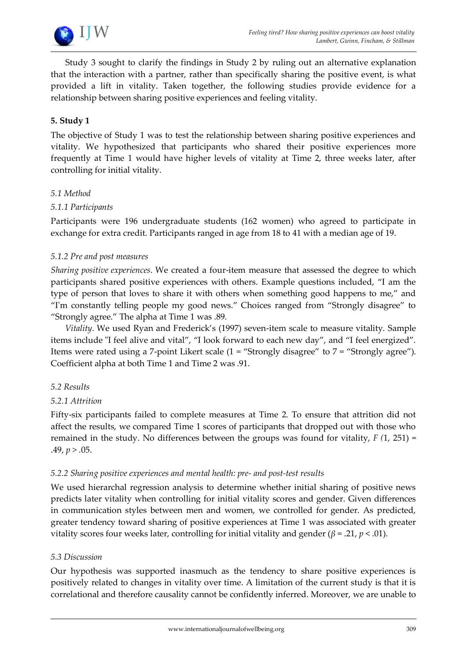

Study 3 sought to clarify the findings in Study 2 by ruling out an alternative explanation that the interaction with a partner, rather than specifically sharing the positive event, is what provided a lift in vitality. Taken together, the following studies provide evidence for a relationship between sharing positive experiences and feeling vitality.

## **5. Study 1**

The objective of Study 1 was to test the relationship between sharing positive experiences and vitality. We hypothesized that participants who shared their positive experiences more frequently at Time 1 would have higher levels of vitality at Time 2, three weeks later, after controlling for initial vitality.

#### *5.1 Method*

#### *5.1.1 Participants*

Participants were 196 undergraduate students (162 women) who agreed to participate in exchange for extra credit. Participants ranged in age from 18 to 41 with a median age of 19.

#### *5.1.2 Pre and post measures*

*Sharing positive experiences*. We created a four-item measure that assessed the degree to which participants shared positive experiences with others. Example questions included, "I am the type of person that loves to share it with others when something good happens to me," and "I'm constantly telling people my good news." Choices ranged from "Strongly disagree" to "Strongly agree." The alpha at Time 1 was .89.

*Vitality*. We used Ryan and Frederick's (1997) seven-item scale to measure vitality. Sample items include "I feel alive and vital", "I look forward to each new day", and "I feel energized". Items were rated using a 7-point Likert scale (1 = "Strongly disagree" to 7 = "Strongly agree"). Coefficient alpha at both Time 1 and Time 2 was .91.

#### *5.2 Results*

#### *5.2.1 Attrition*

Fifty-six participants failed to complete measures at Time 2. To ensure that attrition did not affect the results, we compared Time 1 scores of participants that dropped out with those who remained in the study. No differences between the groups was found for vitality, *F (*1, 251) = .49, *p > .*05.

#### *5.2.2 Sharing positive experiences and mental health: pre- and post-test results*

We used hierarchal regression analysis to determine whether initial sharing of positive news predicts later vitality when controlling for initial vitality scores and gender. Given differences in communication styles between men and women, we controlled for gender. As predicted, greater tendency toward sharing of positive experiences at Time 1 was associated with greater vitality scores four weeks later, controlling for initial vitality and gender (*β* = .21, *p* < .01).

#### *5.3 Discussion*

Our hypothesis was supported inasmuch as the tendency to share positive experiences is positively related to changes in vitality over time. A limitation of the current study is that it is correlational and therefore causality cannot be confidently inferred. Moreover, we are unable to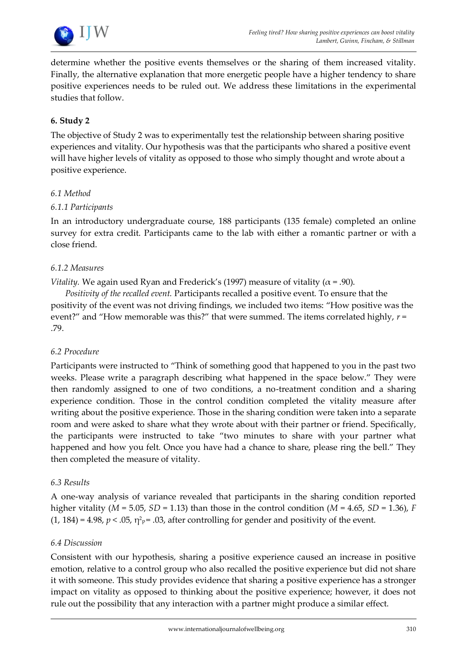

determine whether the positive events themselves or the sharing of them increased vitality. Finally, the alternative explanation that more energetic people have a higher tendency to share positive experiences needs to be ruled out. We address these limitations in the experimental studies that follow.

# **6. Study 2**

The objective of Study 2 was to experimentally test the relationship between sharing positive experiences and vitality. Our hypothesis was that the participants who shared a positive event will have higher levels of vitality as opposed to those who simply thought and wrote about a positive experience.

## *6.1 Method*

## *6.1.1 Participants*

In an introductory undergraduate course, 188 participants (135 female) completed an online survey for extra credit. Participants came to the lab with either a romantic partner or with a close friend.

## *6.1.2 Measures*

*Vitality.* We again used Ryan and Frederick's (1997) measure of vitality ( $\alpha$  = .90).

*Positivity of the recalled event.* Participants recalled a positive event. To ensure that the positivity of the event was not driving findings, we included two items: "How positive was the event?" and "How memorable was this?" that were summed. The items correlated highly, *r* = .79.

# *6.2 Procedure*

Participants were instructed to "Think of something good that happened to you in the past two weeks. Please write a paragraph describing what happened in the space below." They were then randomly assigned to one of two conditions, a no-treatment condition and a sharing experience condition. Those in the control condition completed the vitality measure after writing about the positive experience. Those in the sharing condition were taken into a separate room and were asked to share what they wrote about with their partner or friend. Specifically, the participants were instructed to take "two minutes to share with your partner what happened and how you felt. Once you have had a chance to share, please ring the bell." They then completed the measure of vitality.

#### *6.3 Results*

A one-way analysis of variance revealed that participants in the sharing condition reported higher vitality ( $M = 5.05$ ,  $SD = 1.13$ ) than those in the control condition ( $M = 4.65$ ,  $SD = 1.36$ ), *F*  $(1, 184)$  = 4.98,  $p < .05$ ,  $\eta^2$ <sub>P</sub> = .03, after controlling for gender and positivity of the event.

#### *6.4 Discussion*

Consistent with our hypothesis, sharing a positive experience caused an increase in positive emotion, relative to a control group who also recalled the positive experience but did not share it with someone. This study provides evidence that sharing a positive experience has a stronger impact on vitality as opposed to thinking about the positive experience; however, it does not rule out the possibility that any interaction with a partner might produce a similar effect.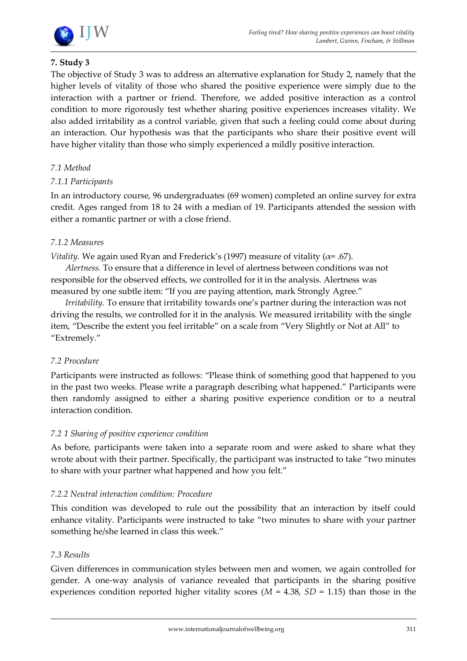

# **7. Study 3**

The objective of Study 3 was to address an alternative explanation for Study 2, namely that the higher levels of vitality of those who shared the positive experience were simply due to the interaction with a partner or friend. Therefore, we added positive interaction as a control condition to more rigorously test whether sharing positive experiences increases vitality. We also added irritability as a control variable, given that such a feeling could come about during an interaction. Our hypothesis was that the participants who share their positive event will have higher vitality than those who simply experienced a mildly positive interaction.

# *7.1 Method*

## *7.1.1 Participants*

In an introductory course, 96 undergraduates (69 women) completed an online survey for extra credit. Ages ranged from 18 to 24 with a median of 19. Participants attended the session with either a romantic partner or with a close friend.

## *7.1.2 Measures*

*Vitality.* We again used Ryan and Frederick's (1997) measure of vitality ( $\alpha$ = .67).

*Alertness.* To ensure that a difference in level of alertness between conditions was not responsible for the observed effects, we controlled for it in the analysis. Alertness was measured by one subtle item: "If you are paying attention, mark Strongly Agree."

*Irritability.* To ensure that irritability towards one's partner during the interaction was not driving the results, we controlled for it in the analysis. We measured irritability with the single item, "Describe the extent you feel irritable" on a scale from "Very Slightly or Not at All" to "Extremely."

#### *7.2 Procedure*

Participants were instructed as follows: "Please think of something good that happened to you in the past two weeks. Please write a paragraph describing what happened." Participants were then randomly assigned to either a sharing positive experience condition or to a neutral interaction condition.

#### *7.2 1 Sharing of positive experience condition*

As before, participants were taken into a separate room and were asked to share what they wrote about with their partner. Specifically, the participant was instructed to take "two minutes to share with your partner what happened and how you felt."

#### *7.2.2 Neutral interaction condition: Procedure*

This condition was developed to rule out the possibility that an interaction by itself could enhance vitality. Participants were instructed to take "two minutes to share with your partner something he/she learned in class this week."

#### *7.3 Results*

Given differences in communication styles between men and women, we again controlled for gender. A one-way analysis of variance revealed that participants in the sharing positive experiences condition reported higher vitality scores ( $M = 4.38$ ,  $SD = 1.15$ ) than those in the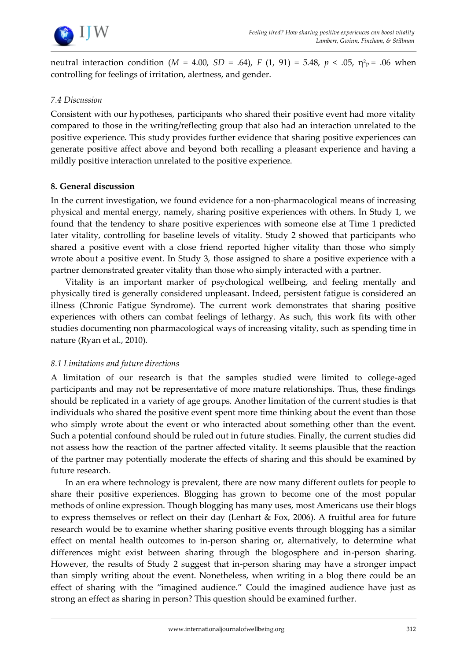

neutral interaction condition (*M* = 4.00*, SD* = .64), *F* (1, 91) = 5.48, *p* < .05,  $\eta^2{}_{\rm P}$  = .06 when controlling for feelings of irritation, alertness, and gender.

### *7.4 Discussion*

Consistent with our hypotheses, participants who shared their positive event had more vitality compared to those in the writing/reflecting group that also had an interaction unrelated to the positive experience. This study provides further evidence that sharing positive experiences can generate positive affect above and beyond both recalling a pleasant experience and having a mildly positive interaction unrelated to the positive experience.

## **8. General discussion**

In the current investigation, we found evidence for a non-pharmacological means of increasing physical and mental energy, namely, sharing positive experiences with others. In Study 1, we found that the tendency to share positive experiences with someone else at Time 1 predicted later vitality, controlling for baseline levels of vitality. Study 2 showed that participants who shared a positive event with a close friend reported higher vitality than those who simply wrote about a positive event. In Study 3, those assigned to share a positive experience with a partner demonstrated greater vitality than those who simply interacted with a partner.

Vitality is an important marker of psychological wellbeing, and feeling mentally and physically tired is generally considered unpleasant. Indeed, persistent fatigue is considered an illness (Chronic Fatigue Syndrome). The current work demonstrates that sharing positive experiences with others can combat feelings of lethargy. As such, this work fits with other studies documenting non pharmacological ways of increasing vitality, such as spending time in nature (Ryan et al., 2010).

#### *8.1 Limitations and future directions*

A limitation of our research is that the samples studied were limited to college-aged participants and may not be representative of more mature relationships. Thus, these findings should be replicated in a variety of age groups. Another limitation of the current studies is that individuals who shared the positive event spent more time thinking about the event than those who simply wrote about the event or who interacted about something other than the event. Such a potential confound should be ruled out in future studies. Finally, the current studies did not assess how the reaction of the partner affected vitality. It seems plausible that the reaction of the partner may potentially moderate the effects of sharing and this should be examined by future research.

In an era where technology is prevalent, there are now many different outlets for people to share their positive experiences. Blogging has grown to become one of the most popular methods of online expression. Though blogging has many uses, most Americans use their blogs to express themselves or reflect on their day (Lenhart & Fox, 2006). A fruitful area for future research would be to examine whether sharing positive events through blogging has a similar effect on mental health outcomes to in-person sharing or, alternatively, to determine what differences might exist between sharing through the blogosphere and in-person sharing. However, the results of Study 2 suggest that in-person sharing may have a stronger impact than simply writing about the event. Nonetheless, when writing in a blog there could be an effect of sharing with the "imagined audience." Could the imagined audience have just as strong an effect as sharing in person? This question should be examined further.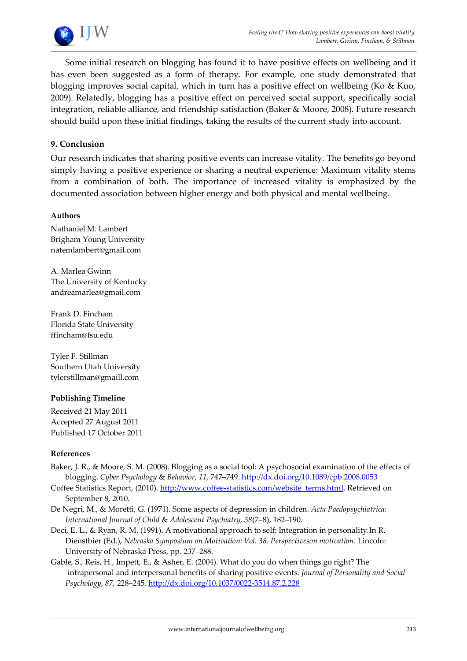

Some initial research on blogging has found it to have positive effects on wellbeing and it has even been suggested as a form of therapy. For example, one study demonstrated that blogging improves social capital, which in turn has a positive effect on wellbeing (Ko & Kuo, 2009). Relatedly, blogging has a positive effect on perceived social support, specifically social integration, reliable alliance, and friendship satisfaction (Baker & Moore, 2008). Future research should build upon these initial findings, taking the results of the current study into account.

## **9. Conclusion**

Our research indicates that sharing positive events can increase vitality. The benefits go beyond simply having a positive experience or sharing a neutral experience: Maximum vitality stems from a combination of both. The importance of increased vitality is emphasized by the documented association between higher energy and both physical and mental wellbeing.

#### **Authors**

Nathaniel M. Lambert Brigham Young University natemlambert@gmail.com

A. Marlea Gwinn The University of Kentucky andreamarlea@gmail.com

Frank D. Fincham Florida State University ffincham@fsu.edu

Tyler F. Stillman Southern Utah University tylerstillman@gmaill.com

#### **Publishing Timeline**

Received 21 May 2011 Accepted 27 August 2011 Published 17 October 2011

#### **References**

- Baker, J. R., & Moore, S. M. (2008). Blogging as a social tool: A psychosocial examination of the effects of blogging. *Cyber Psychology* & *Behavior, 11*, 747–749. <http://dx.doi.org/10.1089/cpb.2008.0053>
- Coffee Statistics Report, (2010). [http://www.coffee-statistics.com/website\\_terms.html.](http://www.coffee-statistics.com/website_terms.html) Retrieved on September 8, 2010.
- De Negri, M., & Moretti, G. (1971). Some aspects of depression in children. *Acta Paedopsychiatrica: International Journal of Child* & *Adolescent Psychiatry, 38*(7–8), 182–190.
- Deci, E. L., & Ryan, R. M. (1991). A motivational approach to self: Integration in personality.In R. Dienstbier (Ed.), *Nebraska Symposium on Motivation: Vol. 38. Perspectiveson motivation*. Lincoln: University of Nebraska Press, pp. 237–288.
- Gable, S., Reis, H., Impett, E., & Asher, E. (2004). What do you do when things go right? The intrapersonal and interpersonal benefits of sharing positive events. *Journal of Personality and Social Psychology, 87*, 228–245. <http://dx.doi.org/10.1037/0022-3514.87.2.228>